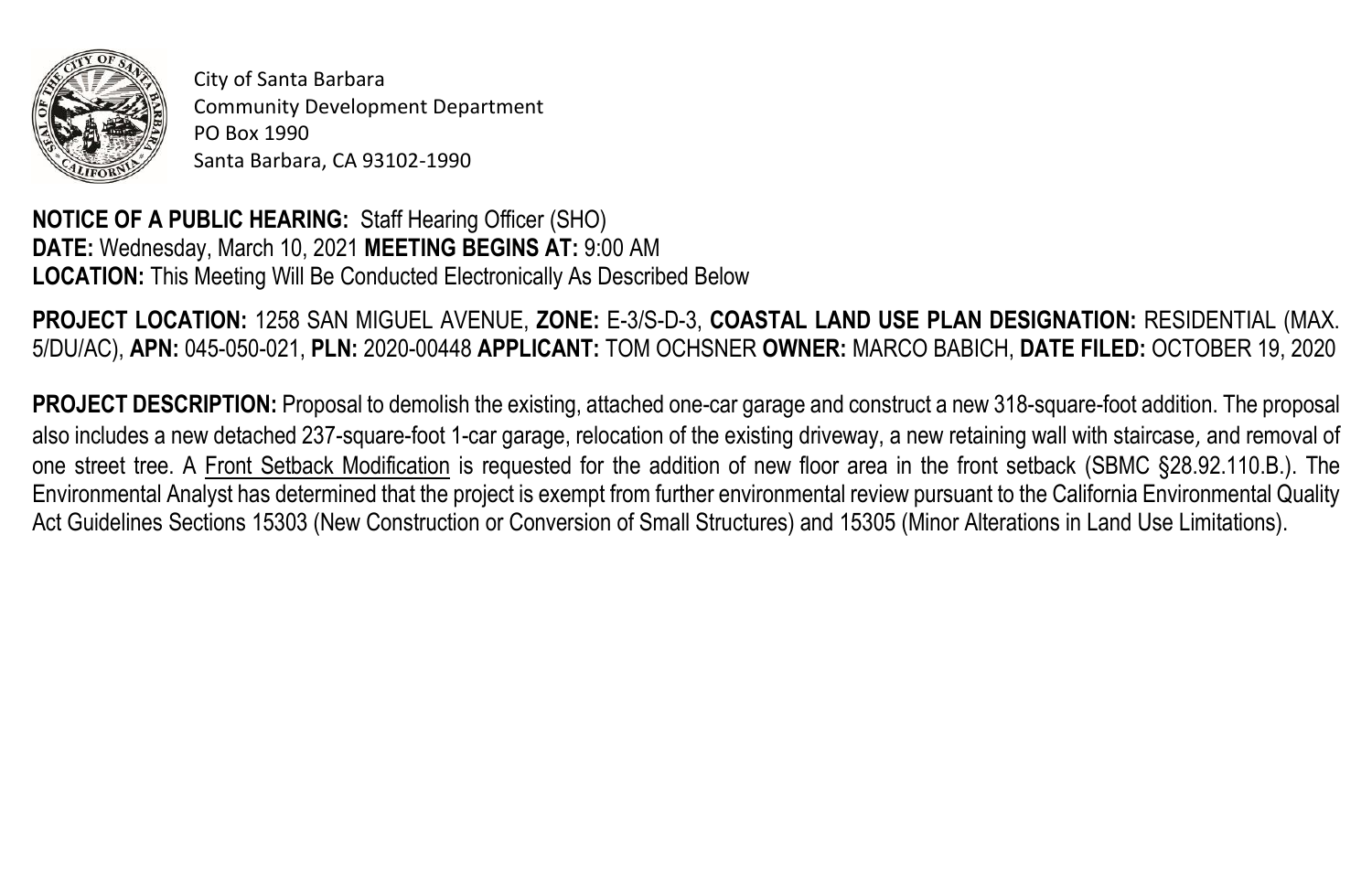

City of Santa Barbara Community Development Department PO Box 1990 Santa Barbara, CA 93102-1990

**NOTICE OF A PUBLIC HEARING:** Staff Hearing Officer (SHO) **DATE:** Wednesday, March 10, 2021 **MEETING BEGINS AT:** 9:00 AM **LOCATION:** This Meeting Will Be Conducted Electronically As Described Below

**PROJECT LOCATION:** 1258 SAN MIGUEL AVENUE, **ZONE:** E-3/S-D-3, **COASTAL LAND USE PLAN DESIGNATION:** RESIDENTIAL (MAX. 5/DU/AC), **APN:** 045-050-021, **PLN:** 2020-00448 **APPLICANT:** TOM OCHSNER **OWNER:** MARCO BABICH, **DATE FILED:** OCTOBER 19, 2020

**PROJECT DESCRIPTION:** Proposal to demolish the existing, attached one-car garage and construct a new 318-square-foot addition. The proposal also includes a new detached 237-square-foot 1-car garage, relocation of the existing driveway, a new retaining wall with staircase, and removal of one street tree. A Front Setback Modification is requested for the addition of new floor area in the front setback (SBMC §28.92.110.B.). The Environmental Analyst has determined that the project is exempt from further environmental review pursuant to the California Environmental Quality Act Guidelines Sections 15303 (New Construction or Conversion of Small Structures) and 15305 (Minor Alterations in Land Use Limitations).